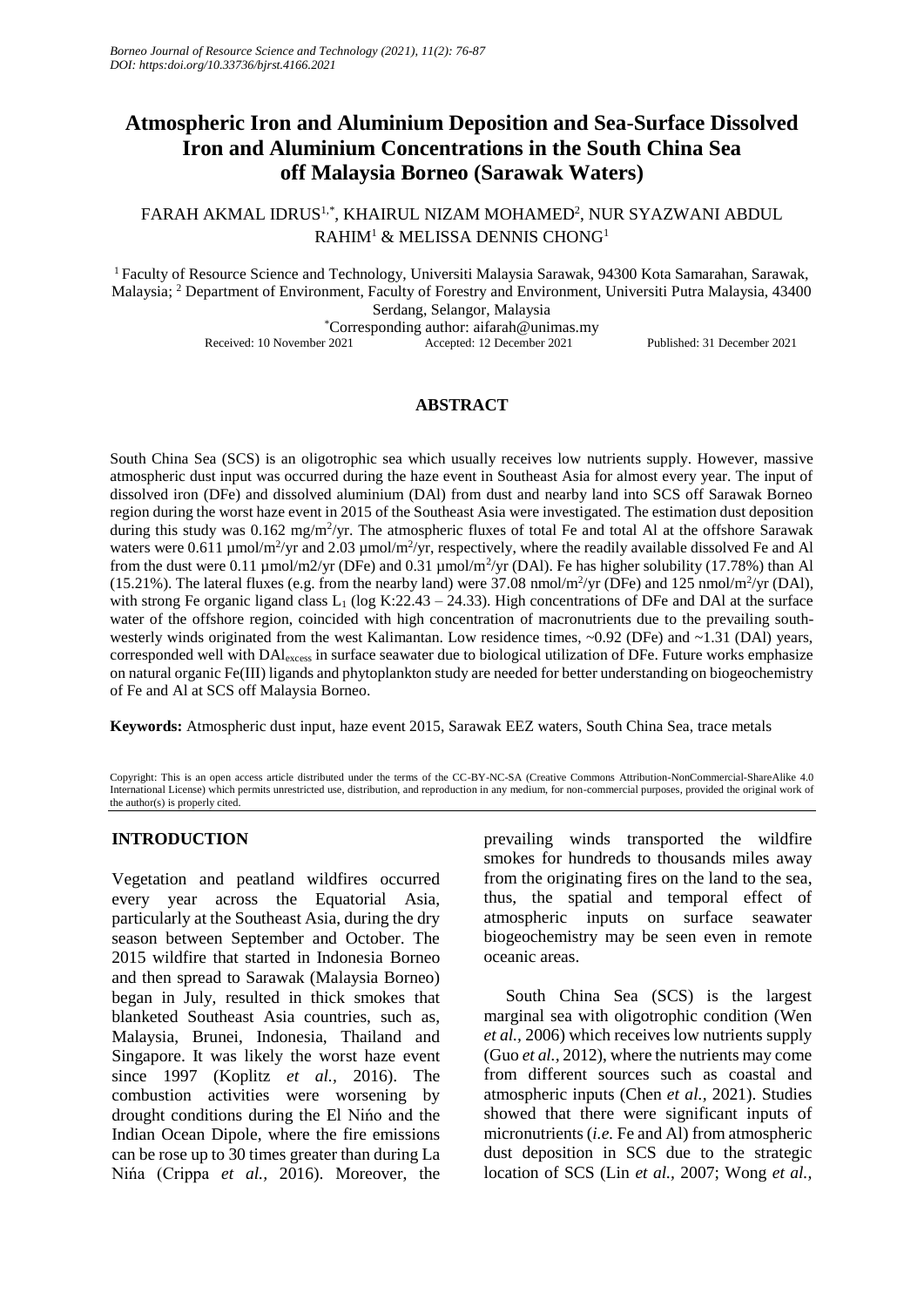# **Atmospheric Iron and Aluminium Deposition and Sea-Surface Dissolved Iron and Aluminium Concentrations in the South China Sea off Malaysia Borneo (Sarawak Waters)**

# FARAH AKMAL IDRUS<sup>1,\*</sup>, KHAIRUL NIZAM MOHAMED<sup>2</sup>, NUR SYAZWANI ABDUL RAHIM<sup>1</sup> & MELISSA DENNIS CHONG<sup>1</sup>

<sup>1</sup>Faculty of Resource Science and Technology, Universiti Malaysia Sarawak, 94300 Kota Samarahan, Sarawak, Malaysia; <sup>2</sup> Department of Environment, Faculty of Forestry and Environment, Universiti Putra Malaysia, 43400 Serdang, Selangor, Malaysia \*Corresponding author: aifarah@unimas.my

Received: 10 November 2021 Accepted: 12 December 2021 Published: 31 December 2021

# **ABSTRACT**

South China Sea (SCS) is an oligotrophic sea which usually receives low nutrients supply. However, massive atmospheric dust input was occurred during the haze event in Southeast Asia for almost every year. The input of dissolved iron (DFe) and dissolved aluminium (DAl) from dust and nearby land into SCS off Sarawak Borneo region during the worst haze event in 2015 of the Southeast Asia were investigated. The estimation dust deposition during this study was  $0.162 \text{ mg/m}^2/\text{yr}$ . The atmospheric fluxes of total Fe and total Al at the offshore Sarawak waters were 0.611  $\mu$ mol/m<sup>2</sup>/yr and 2.03  $\mu$ mol/m<sup>2</sup>/yr, respectively, where the readily available dissolved Fe and Al from the dust were 0.11 µmol/m2/yr (DFe) and 0.31 µmol/m<sup>2</sup>/yr (DAl). Fe has higher solubility (17.78%) than Al (15.21%). The lateral fluxes (e.g. from the nearby land) were 37.08 nmol/m<sup>2</sup>/yr (DFe) and 125 nmol/m<sup>2</sup>/yr (DAl), with strong Fe organic ligand class  $L_1$  (log K:22.43 – 24.33). High concentrations of DFe and DAI at the surface water of the offshore region, coincided with high concentration of macronutrients due to the prevailing southwesterly winds originated from the west Kalimantan. Low residence times, ~0.92 (DFe) and ~1.31 (DAI) years, corresponded well with DAlexcess in surface seawater due to biological utilization of DFe. Future works emphasize on natural organic Fe(III) ligands and phytoplankton study are needed for better understanding on biogeochemistry of Fe and Al at SCS off Malaysia Borneo.

**Keywords:** Atmospheric dust input, haze event 2015, Sarawak EEZ waters, South China Sea, trace metals

Copyright: This is an open access article distributed under the terms of the CC-BY-NC-SA (Creative Commons Attribution-NonCommercial-ShareAlike 4.0 International License) which permits unrestricted use, distribution, and reproduction in any medium, for non-commercial purposes, provided the original work of the author(s) is properly cited.

# **INTRODUCTION**

Vegetation and peatland wildfires occurred every year across the Equatorial Asia, particularly at the Southeast Asia, during the dry season between September and October. The 2015 wildfire that started in Indonesia Borneo and then spread to Sarawak (Malaysia Borneo) began in July, resulted in thick smokes that blanketed Southeast Asia countries, such as, Malaysia, Brunei, Indonesia, Thailand and Singapore. It was likely the worst haze event since 1997 (Koplitz *et al.,* 2016). The combustion activities were worsening by drought conditions during the El Nińo and the Indian Ocean Dipole, where the fire emissions can be rose up to 30 times greater than during La Nińa (Crippa *et al.,* 2016). Moreover, the prevailing winds transported the wildfire smokes for hundreds to thousands miles away from the originating fires on the land to the sea, thus, the spatial and temporal effect of atmospheric inputs on surface seawater biogeochemistry may be seen even in remote oceanic areas.

South China Sea (SCS) is the largest marginal sea with oligotrophic condition (Wen *et al.,* 2006) which receives low nutrients supply (Guo *et al.,* 2012), where the nutrients may come from different sources such as coastal and atmospheric inputs (Chen *et al.,* 2021). Studies showed that there were significant inputs of micronutrients (*i.e.* Fe and Al) from atmospheric dust deposition in SCS due to the strategic location of SCS (Lin *et al.,* 2007; Wong *et al.,*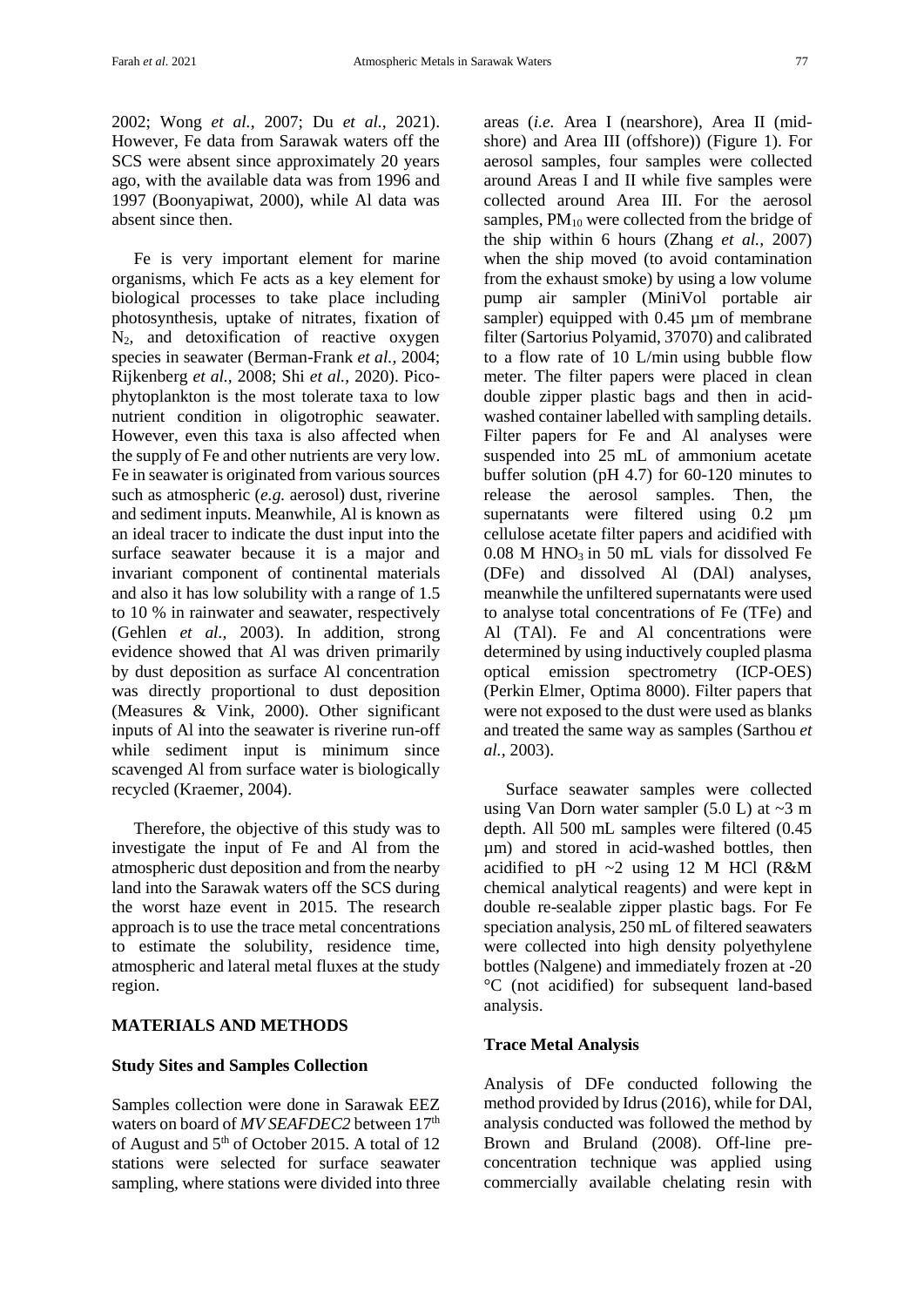2002; Wong *et al.,* 2007; Du *et al.,* 2021). However, Fe data from Sarawak waters off the SCS were absent since approximately 20 years ago, with the available data was from 1996 and 1997 (Boonyapiwat, 2000), while Al data was absent since then.

Fe is very important element for marine organisms, which Fe acts as a key element for biological processes to take place including photosynthesis, uptake of nitrates, fixation of N2, and detoxification of reactive oxygen species in seawater (Berman-Frank *et al.,* 2004; Rijkenberg *et al.,* 2008; Shi *et al.,* 2020). Picophytoplankton is the most tolerate taxa to low nutrient condition in oligotrophic seawater. However, even this taxa is also affected when the supply of Fe and other nutrients are very low. Fe in seawater is originated from various sources such as atmospheric (*e.g.* aerosol) dust, riverine and sediment inputs. Meanwhile, Al is known as an ideal tracer to indicate the dust input into the surface seawater because it is a major and invariant component of continental materials and also it has low solubility with a range of 1.5 to 10 % in rainwater and seawater, respectively (Gehlen *et al.,* 2003). In addition, strong evidence showed that Al was driven primarily by dust deposition as surface Al concentration was directly proportional to dust deposition (Measures & Vink, 2000). Other significant inputs of Al into the seawater is riverine run-off while sediment input is minimum since scavenged Al from surface water is biologically recycled (Kraemer, 2004).

Therefore, the objective of this study was to investigate the input of Fe and Al from the atmospheric dust deposition and from the nearby land into the Sarawak waters off the SCS during the worst haze event in 2015. The research approach is to use the trace metal concentrations to estimate the solubility, residence time, atmospheric and lateral metal fluxes at the study region.

## **MATERIALS AND METHODS**

## **Study Sites and Samples Collection**

Samples collection were done in Sarawak EEZ waters on board of *MV SEAFDEC2* between 17<sup>th</sup> of August and  $5<sup>th</sup>$  of October 2015. A total of 12 stations were selected for surface seawater sampling, where stations were divided into three areas (*i.e.* Area I (nearshore), Area II (midshore) and Area III (offshore)) (Figure 1). For aerosol samples, four samples were collected around Areas I and II while five samples were collected around Area III. For the aerosol samples,  $PM_{10}$  were collected from the bridge of the ship within 6 hours (Zhang *et al.,* 2007) when the ship moved (to avoid contamination from the exhaust smoke) by using a low volume pump air sampler (MiniVol portable air sampler) equipped with 0.45 µm of membrane filter (Sartorius Polyamid, 37070) and calibrated to a flow rate of 10 L/min using bubble flow meter. The filter papers were placed in clean double zipper plastic bags and then in acidwashed container labelled with sampling details. Filter papers for Fe and Al analyses were suspended into 25 mL of ammonium acetate buffer solution (pH 4.7) for 60-120 minutes to release the aerosol samples. Then, the supernatants were filtered using 0.2  $\mu$ m cellulose acetate filter papers and acidified with  $0.08$  M HNO<sub>3</sub> in 50 mL vials for dissolved Fe (DFe) and dissolved Al (DAl) analyses, meanwhile the unfiltered supernatants were used to analyse total concentrations of Fe (TFe) and Al (TAl). Fe and Al concentrations were determined by using inductively coupled plasma optical emission spectrometry (ICP-OES) (Perkin Elmer, Optima 8000). Filter papers that were not exposed to the dust were used as blanks and treated the same way as samples (Sarthou *et al.,* 2003).

Surface seawater samples were collected using Van Dorn water sampler  $(5.0 L)$  at  $\sim$ 3 m depth. All 500 mL samples were filtered (0.45 µm) and stored in acid-washed bottles, then acidified to pH ~2 using 12 M HCl (R&M chemical analytical reagents) and were kept in double re-sealable zipper plastic bags. For Fe speciation analysis, 250 mL of filtered seawaters were collected into high density polyethylene bottles (Nalgene) and immediately frozen at -20 °C (not acidified) for subsequent land-based analysis.

## **Trace Metal Analysis**

Analysis of DFe conducted following the method provided by Idrus (2016), while for DAl, analysis conducted was followed the method by Brown and Bruland (2008). Off-line preconcentration technique was applied using commercially available chelating resin with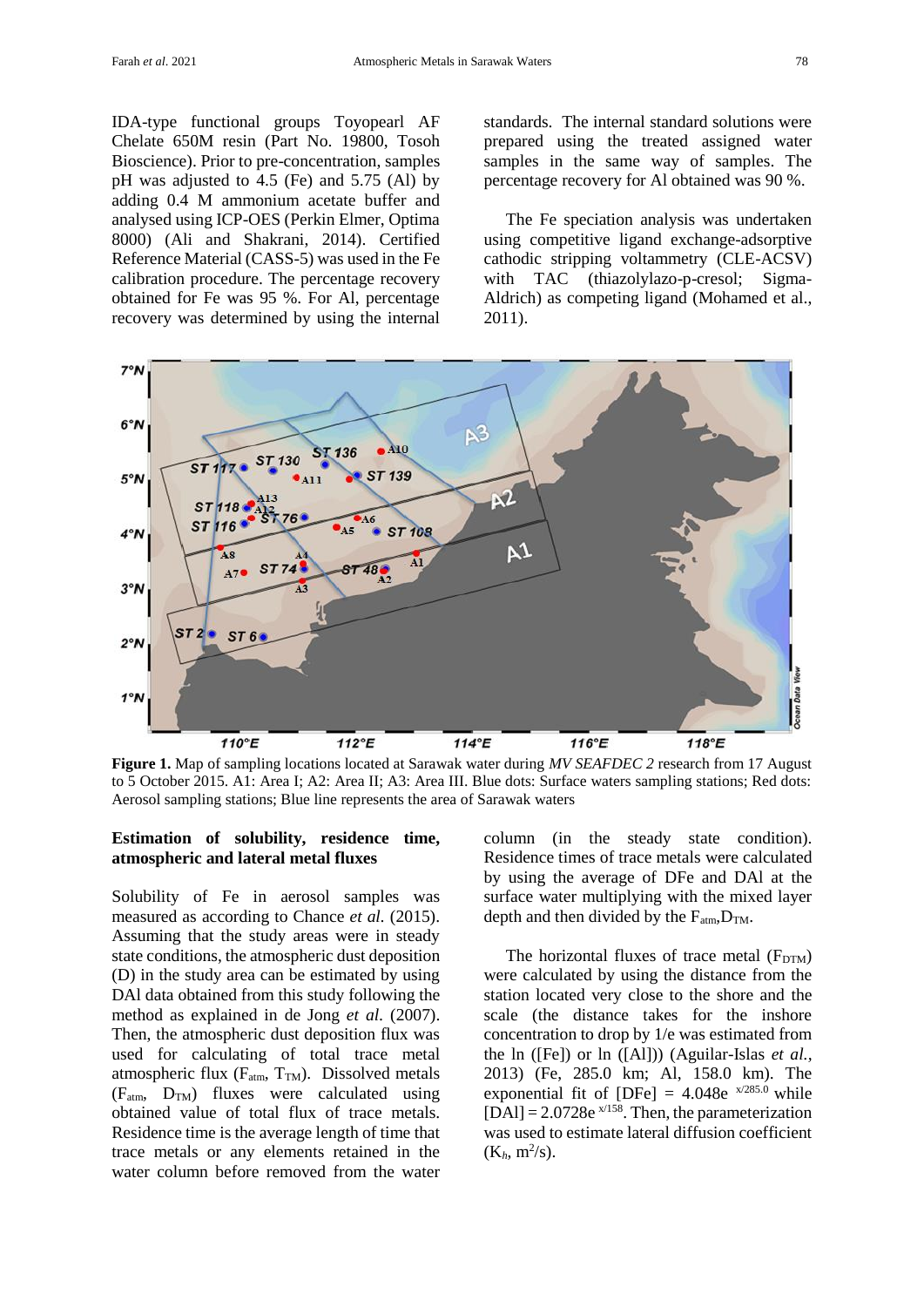IDA-type functional groups Toyopearl AF Chelate 650M resin (Part No. 19800, Tosoh Bioscience). Prior to pre-concentration, samples pH was adjusted to 4.5 (Fe) and 5.75 (Al) by adding 0.4 M ammonium acetate buffer and analysed using ICP-OES (Perkin Elmer, Optima 8000) (Ali and Shakrani, 2014). Certified Reference Material (CASS-5) was used in the Fe calibration procedure. The percentage recovery obtained for Fe was 95 %. For Al, percentage recovery was determined by using the internal standards. The internal standard solutions were prepared using the treated assigned water samples in the same way of samples. The percentage recovery for Al obtained was 90 %.

The Fe speciation analysis was undertaken using competitive ligand exchange-adsorptive cathodic stripping voltammetry (CLE-ACSV) with TAC (thiazolylazo-p-cresol; Sigma-Aldrich) as competing ligand (Mohamed et al., 2011).



**Figure 1.** Map of sampling locations located at Sarawak water during *MV SEAFDEC 2* research from 17 August to 5 October 2015. A1: Area I; A2: Area II; A3: Area III. Blue dots: Surface waters sampling stations; Red dots: Aerosol sampling stations; Blue line represents the area of Sarawak waters

# **Estimation of solubility, residence time, atmospheric and lateral metal fluxes**

Solubility of Fe in aerosol samples was measured as according to Chance *et al.* (2015). Assuming that the study areas were in steady state conditions, the atmospheric dust deposition (D) in the study area can be estimated by using DAl data obtained from this study following the method as explained in de Jong *et al.* (2007). Then, the atmospheric dust deposition flux was used for calculating of total trace metal atmospheric flux ( $F_{atm}$ ,  $T_{TM}$ ). Dissolved metals (Fatm, DTM) fluxes were calculated using obtained value of total flux of trace metals. Residence time is the average length of time that trace metals or any elements retained in the water column before removed from the water column (in the steady state condition). Residence times of trace metals were calculated by using the average of DFe and DAl at the surface water multiplying with the mixed layer depth and then divided by the  $F_{atm}$ ,  $D_{TM}$ .

The horizontal fluxes of trace metal  $(F_{DTM})$ were calculated by using the distance from the station located very close to the shore and the scale (the distance takes for the inshore concentration to drop by 1/e was estimated from the ln ([Fe]) or ln ([Al])) (Aguilar-Islas *et al.,* 2013) (Fe, 285.0 km; Al, 158.0 km). The exponential fit of [DFe] =  $4.048e^{x/285.0}$  while  $[DA1] = 2.0728e^{x/158}$ . Then, the parameterization was used to estimate lateral diffusion coefficient  $(K_h, m^2/s)$ .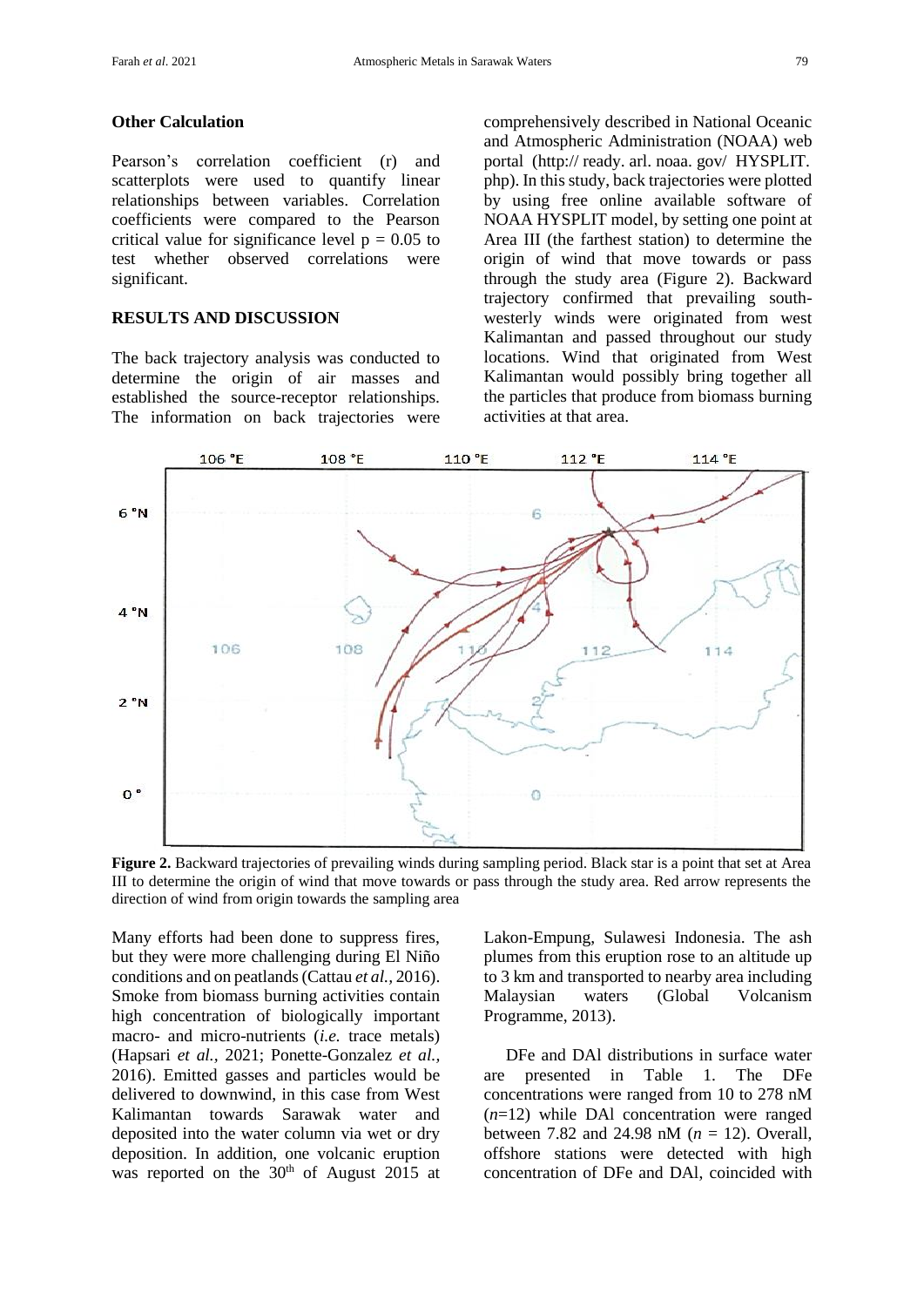#### **Other Calculation**

Pearson's correlation coefficient (r) and scatterplots were used to quantify linear relationships between variables. Correlation coefficients were compared to the Pearson critical value for significance level  $p = 0.05$  to test whether observed correlations were significant.

# **RESULTS AND DISCUSSION**

The back trajectory analysis was conducted to determine the origin of air masses and established the source-receptor relationships. The information on back trajectories were comprehensively described in National Oceanic and Atmospheric Administration (NOAA) web portal (http:// ready. arl. noaa. gov/ HYSPLIT. php). In this study, back trajectories were plotted by using free online available software of NOAA HYSPLIT model, by setting one point at Area III (the farthest station) to determine the origin of wind that move towards or pass through the study area (Figure 2). Backward trajectory confirmed that prevailing southwesterly winds were originated from west Kalimantan and passed throughout our study locations. Wind that originated from West Kalimantan would possibly bring together all the particles that produce from biomass burning activities at that area.



**Figure 2.** Backward trajectories of prevailing winds during sampling period. Black star is a point that set at Area III to determine the origin of wind that move towards or pass through the study area. Red arrow represents the direction of wind from origin towards the sampling area

Many efforts had been done to suppress fires, but they were more challenging during El Niño conditions and on peatlands (Cattau *et al.,* 2016). Smoke from biomass burning activities contain high concentration of biologically important macro- and micro-nutrients (*i.e.* trace metals) (Hapsari *et al.,* 2021; Ponette-Gonzalez *et al.,* 2016). Emitted gasses and particles would be delivered to downwind, in this case from West Kalimantan towards Sarawak water and deposited into the water column via wet or dry deposition. In addition, one volcanic eruption was reported on the  $30<sup>th</sup>$  of August 2015 at Lakon-Empung, Sulawesi Indonesia. The ash plumes from this eruption rose to an altitude up to 3 km and transported to nearby area including Malaysian waters (Global Volcanism Programme, 2013).

DFe and DAl distributions in surface water are presented in Table 1. The DFe concentrations were ranged from 10 to 278 nM (*n*=12) while DAl concentration were ranged between 7.82 and 24.98 nM (*n* = 12). Overall, offshore stations were detected with high concentration of DFe and DAl, coincided with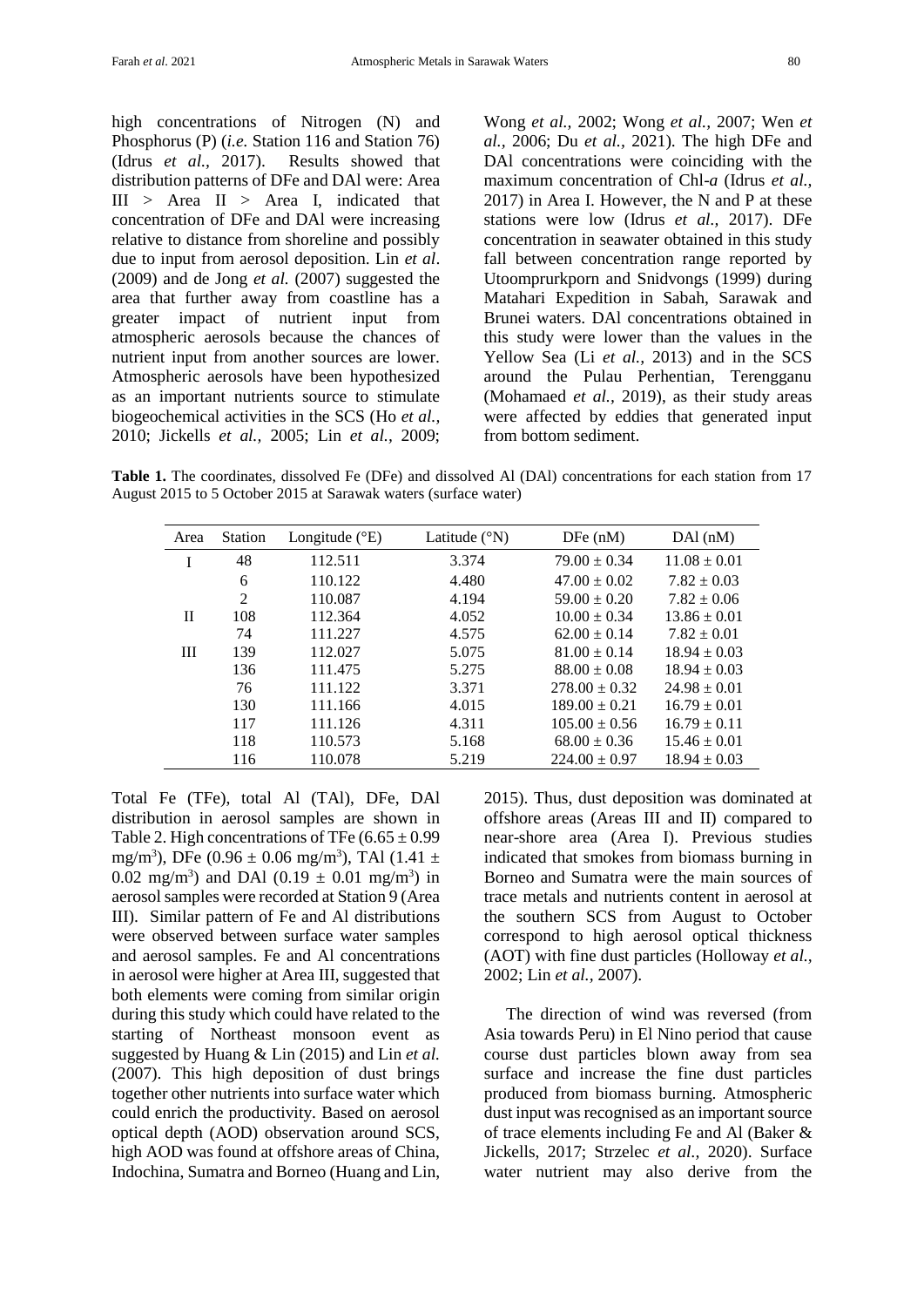high concentrations of Nitrogen (N) and Phosphorus (P) (*i.e.* Station 116 and Station 76) (Idrus *et al.,* 2017). Results showed that distribution patterns of DFe and DAl were: Area III > Area II > Area I, indicated that concentration of DFe and DAl were increasing relative to distance from shoreline and possibly due to input from aerosol deposition. Lin *et al*. (2009) and de Jong *et al.* (2007) suggested the area that further away from coastline has a greater impact of nutrient input from atmospheric aerosols because the chances of nutrient input from another sources are lower. Atmospheric aerosols have been hypothesized as an important nutrients source to stimulate biogeochemical activities in the SCS (Ho *et al.,* 2010; Jickells *et al.,* 2005; Lin *et al.,* 2009; Wong *et al.,* 2002; Wong *et al.,* 2007; Wen *et al.,* 2006; Du *et al.,* 2021). The high DFe and DAl concentrations were coinciding with the maximum concentration of Chl-*a* (Idrus *et al.,* 2017) in Area I. However, the N and P at these stations were low (Idrus *et al.,* 2017). DFe concentration in seawater obtained in this study fall between concentration range reported by Utoomprurkporn and Snidvongs (1999) during Matahari Expedition in Sabah, Sarawak and Brunei waters. DAl concentrations obtained in this study were lower than the values in the Yellow Sea (Li *et al.,* 2013) and in the SCS around the Pulau Perhentian, Terengganu (Mohamaed *et al.,* 2019), as their study areas were affected by eddies that generated input from bottom sediment.

**Table 1.** The coordinates, dissolved Fe (DFe) and dissolved Al (DAl) concentrations for each station from 17 August 2015 to 5 October 2015 at Sarawak waters (surface water)

| Area | <b>Station</b> | Longitude $(^{\circ}E)$ | Latitude $(^{\circ}N)$ | DFe(nM)           | $DA1$ (nM)       |
|------|----------------|-------------------------|------------------------|-------------------|------------------|
| I    | 48             | 112.511                 | 3.374                  | $79.00 \pm 0.34$  | $11.08 \pm 0.01$ |
|      | 6              | 110.122                 | 4.480                  | $47.00 \pm 0.02$  | $7.82 \pm 0.03$  |
|      | $\mathfrak{D}$ | 110.087                 | 4.194                  | $59.00 \pm 0.20$  | $7.82 \pm 0.06$  |
| П    | 108            | 112.364                 | 4.052                  | $10.00 \pm 0.34$  | $13.86 \pm 0.01$ |
|      | 74             | 111.227                 | 4.575                  | $62.00 \pm 0.14$  | $7.82 \pm 0.01$  |
| Ш    | 139            | 112.027                 | 5.075                  | $81.00 \pm 0.14$  | $18.94 \pm 0.03$ |
|      | 136            | 111.475                 | 5.275                  | $88.00 \pm 0.08$  | $18.94 \pm 0.03$ |
|      | 76             | 111.122                 | 3.371                  | $278.00 \pm 0.32$ | $24.98 \pm 0.01$ |
|      | 130            | 111.166                 | 4.015                  | $189.00 \pm 0.21$ | $16.79 \pm 0.01$ |
|      | 117            | 111.126                 | 4.311                  | $105.00 \pm 0.56$ | $16.79 \pm 0.11$ |
|      | 118            | 110.573                 | 5.168                  | $68.00 \pm 0.36$  | $15.46 \pm 0.01$ |
|      | 116            | 110.078                 | 5.219                  | $224.00 \pm 0.97$ | $18.94 \pm 0.03$ |

Total Fe (TFe), total Al (TAl), DFe, DAl distribution in aerosol samples are shown in Table 2. High concentrations of TFe  $(6.65 \pm 0.99)$ mg/m<sup>3</sup>), DFe (0.96 ± 0.06 mg/m<sup>3</sup>), TAl (1.41 ± 0.02 mg/m<sup>3</sup>) and DAl  $(0.19 \pm 0.01 \text{ mg/m}^3)$  in aerosol samples were recorded at Station 9 (Area III). Similar pattern of Fe and Al distributions were observed between surface water samples and aerosol samples. Fe and Al concentrations in aerosol were higher at Area III, suggested that both elements were coming from similar origin during this study which could have related to the starting of Northeast monsoon event as suggested by Huang & Lin (2015) and Lin *et al.* (2007). This high deposition of dust brings together other nutrients into surface water which could enrich the productivity. Based on aerosol optical depth (AOD) observation around SCS, high AOD was found at offshore areas of China, Indochina, Sumatra and Borneo (Huang and Lin,

2015). Thus, dust deposition was dominated at offshore areas (Areas III and II) compared to near-shore area (Area I). Previous studies indicated that smokes from biomass burning in Borneo and Sumatra were the main sources of trace metals and nutrients content in aerosol at the southern SCS from August to October correspond to high aerosol optical thickness (AOT) with fine dust particles (Holloway *et al.,* 2002; Lin *et al.,* 2007).

The direction of wind was reversed (from Asia towards Peru) in El Nino period that cause course dust particles blown away from sea surface and increase the fine dust particles produced from biomass burning. Atmospheric dust input was recognised as an important source of trace elements including Fe and Al (Baker & Jickells, 2017; Strzelec *et al.,* 2020). Surface water nutrient may also derive from the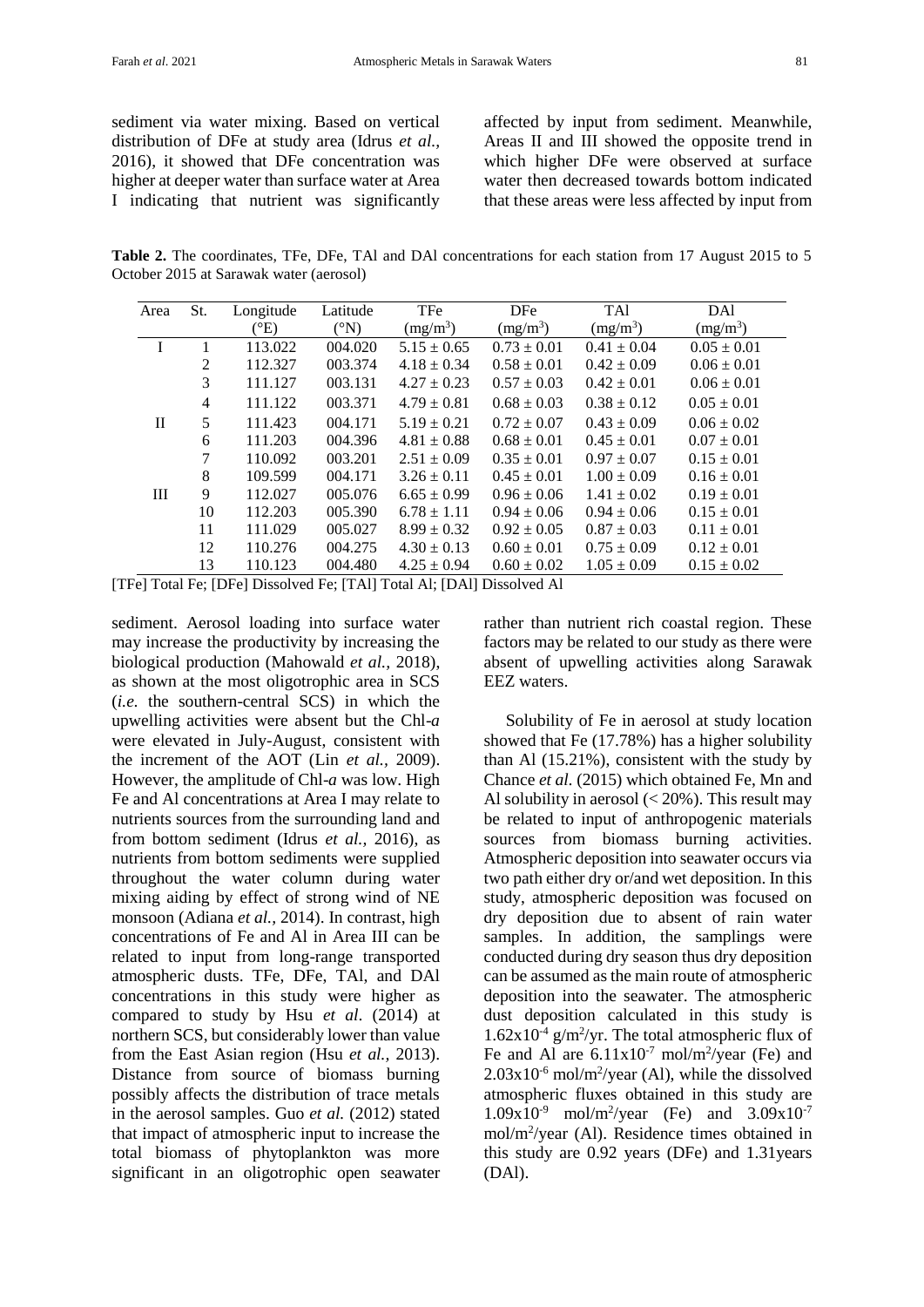sediment via water mixing. Based on vertical distribution of DFe at study area (Idrus *et al.,* 2016), it showed that DFe concentration was higher at deeper water than surface water at Area I indicating that nutrient was significantly affected by input from sediment. Meanwhile, Areas II and III showed the opposite trend in which higher DFe were observed at surface water then decreased towards bottom indicated that these areas were less affected by input from

**Table 2.** The coordinates, TFe, DFe, TAl and DAl concentrations for each station from 17 August 2015 to 5 October 2015 at Sarawak water (aerosol)

| Area         | St.            | Longitude     | Latitude        | TFe             | <b>DFe</b>      | <b>TAl</b>      | DAl             |
|--------------|----------------|---------------|-----------------|-----------------|-----------------|-----------------|-----------------|
|              |                | $(^{\circ}E)$ | $({}^{\circ}N)$ | $(mg/m^3)$      | $(mg/m^3)$      | $(mg/m^3)$      | $(mg/m^3)$      |
|              |                | 113.022       | 004.020         | $5.15 \pm 0.65$ | $0.73 \pm 0.01$ | $0.41 \pm 0.04$ | $0.05 \pm 0.01$ |
|              | 2              | 112.327       | 003.374         | $4.18 \pm 0.34$ | $0.58 \pm 0.01$ | $0.42 \pm 0.09$ | $0.06 \pm 0.01$ |
|              | 3              | 111.127       | 003.131         | $4.27 \pm 0.23$ | $0.57 \pm 0.03$ | $0.42 \pm 0.01$ | $0.06 \pm 0.01$ |
|              | $\overline{4}$ | 111.122       | 003.371         | $4.79 \pm 0.81$ | $0.68 \pm 0.03$ | $0.38 \pm 0.12$ | $0.05 \pm 0.01$ |
| $\mathbf{I}$ | 5              | 111.423       | 004.171         | $5.19 \pm 0.21$ | $0.72 \pm 0.07$ | $0.43 \pm 0.09$ | $0.06 \pm 0.02$ |
|              | 6              | 111.203       | 004.396         | $4.81 \pm 0.88$ | $0.68 \pm 0.01$ | $0.45 \pm 0.01$ | $0.07 \pm 0.01$ |
|              | 7              | 110.092       | 003.201         | $2.51 \pm 0.09$ | $0.35 \pm 0.01$ | $0.97 \pm 0.07$ | $0.15 \pm 0.01$ |
|              | 8              | 109.599       | 004.171         | $3.26 \pm 0.11$ | $0.45 \pm 0.01$ | $1.00 \pm 0.09$ | $0.16 \pm 0.01$ |
| III          | 9              | 112.027       | 005.076         | $6.65 \pm 0.99$ | $0.96 \pm 0.06$ | $1.41 \pm 0.02$ | $0.19 \pm 0.01$ |
|              | 10             | 112.203       | 005.390         | $6.78 \pm 1.11$ | $0.94 \pm 0.06$ | $0.94 \pm 0.06$ | $0.15 \pm 0.01$ |
|              | 11             | 111.029       | 005.027         | $8.99 \pm 0.32$ | $0.92 \pm 0.05$ | $0.87 \pm 0.03$ | $0.11 \pm 0.01$ |
|              | 12             | 110.276       | 004.275         | $4.30 \pm 0.13$ | $0.60 \pm 0.01$ | $0.75 \pm 0.09$ | $0.12 \pm 0.01$ |
|              | 13             | 110.123       | 004.480         | $4.25 \pm 0.94$ | $0.60 \pm 0.02$ | $1.05 \pm 0.09$ | $0.15 \pm 0.02$ |

[TFe] Total Fe; [DFe] Dissolved Fe; [TAl] Total Al; [DAl] Dissolved Al

sediment. Aerosol loading into surface water may increase the productivity by increasing the biological production (Mahowald *et al.,* 2018), as shown at the most oligotrophic area in SCS (*i.e.* the southern-central SCS) in which the upwelling activities were absent but the Chl-*a* were elevated in July-August, consistent with the increment of the AOT (Lin *et al.,* 2009). However, the amplitude of Chl-*a* was low. High Fe and Al concentrations at Area I may relate to nutrients sources from the surrounding land and from bottom sediment (Idrus *et al.,* 2016), as nutrients from bottom sediments were supplied throughout the water column during water mixing aiding by effect of strong wind of NE monsoon (Adiana *et al.,* 2014). In contrast, high concentrations of Fe and Al in Area III can be related to input from long-range transported atmospheric dusts. TFe, DFe, TAl, and DAl concentrations in this study were higher as compared to study by Hsu *et al*. (2014) at northern SCS, but considerably lower than value from the East Asian region (Hsu *et al.,* 2013). Distance from source of biomass burning possibly affects the distribution of trace metals in the aerosol samples. Guo *et al.* (2012) stated that impact of atmospheric input to increase the total biomass of phytoplankton was more significant in an oligotrophic open seawater rather than nutrient rich coastal region. These factors may be related to our study as there were absent of upwelling activities along Sarawak EEZ waters.

Solubility of Fe in aerosol at study location showed that Fe (17.78%) has a higher solubility than Al (15.21%), consistent with the study by Chance *et al.* (2015) which obtained Fe, Mn and Al solubility in aerosol (< 20%). This result may be related to input of anthropogenic materials sources from biomass burning activities. Atmospheric deposition into seawater occurs via two path either dry or/and wet deposition. In this study, atmospheric deposition was focused on dry deposition due to absent of rain water samples. In addition, the samplings were conducted during dry season thus dry deposition can be assumed as the main route of atmospheric deposition into the seawater. The atmospheric dust deposition calculated in this study is  $1.62 \times 10^{-4}$  g/m<sup>2</sup>/yr. The total atmospheric flux of Fe and Al are  $6.11 \times 10^{-7}$  mol/m<sup>2</sup>/year (Fe) and  $2.03 \times 10^{-6}$  mol/m<sup>2</sup>/year (Al), while the dissolved atmospheric fluxes obtained in this study are  $1.09x10^{-9}$  mol/m<sup>2</sup>/year (Fe) and  $3.09x10^{-7}$ mol/m<sup>2</sup> /year (Al). Residence times obtained in this study are 0.92 years (DFe) and 1.31years (DAl).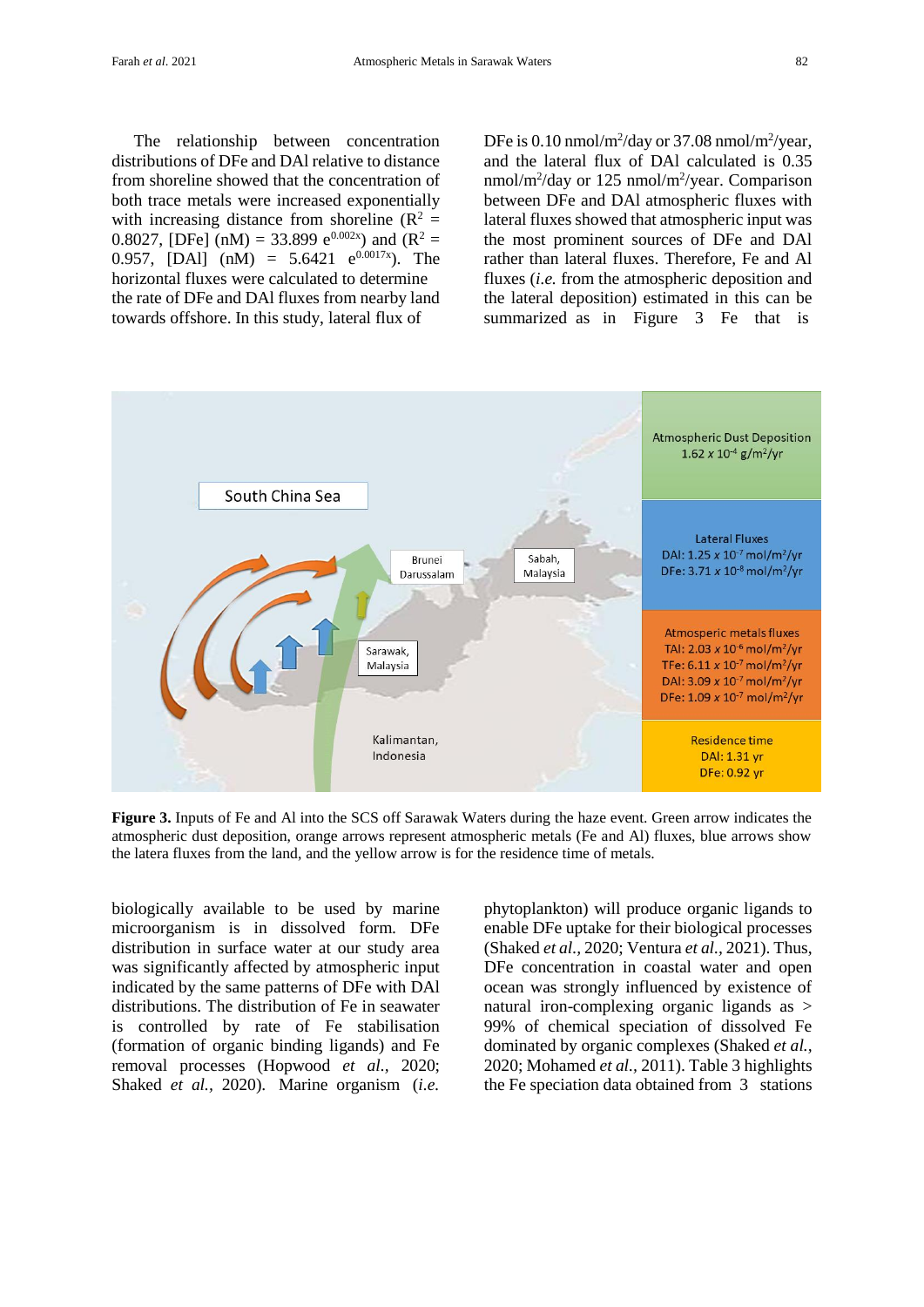The relationship between concentration distributions of DFe and DAl relative to distance from shoreline showed that the concentration of both trace metals were increased exponentially with increasing distance from shoreline  $(R^2 =$ 0.8027, [DFe] (nM) = 33.899 e<sup>0.002x</sup>) and (R<sup>2</sup> = 0.957, [DAl] (nM) = 5.6421  $e^{0.0017x}$ ). The horizontal fluxes were calculated to determine the rate of DFe and DAl fluxes from nearby land towards offshore. In this study, lateral flux of

DFe is 0.10 nmol/m<sup>2</sup>/day or 37.08 nmol/m<sup>2</sup>/year, and the lateral flux of DAl calculated is 0.35 nmol/m<sup>2</sup>/day or 125 nmol/m<sup>2</sup>/year. Comparison between DFe and DAl atmospheric fluxes with lateral fluxes showed that atmospheric input was the most prominent sources of DFe and DAl rather than lateral fluxes. Therefore, Fe and Al fluxes (*i.e.* from the atmospheric deposition and the lateral deposition) estimated in this can be summarized as in Figure 3 Fe that is



**Figure 3.** Inputs of Fe and Al into the SCS off Sarawak Waters during the haze event. Green arrow indicates the atmospheric dust deposition, orange arrows represent atmospheric metals (Fe and Al) fluxes, blue arrows show the latera fluxes from the land, and the yellow arrow is for the residence time of metals.

biologically available to be used by marine microorganism is in dissolved form. DFe distribution in surface water at our study area was significantly affected by atmospheric input indicated by the same patterns of DFe with DAl distributions. The distribution of Fe in seawater is controlled by rate of Fe stabilisation (formation of organic binding ligands) and Fe removal processes (Hopwood *et al.,* 2020; Shaked *et al.,* 2020). Marine organism (*i.e.*

phytoplankton) will produce organic ligands to enable DFe uptake for their biological processes (Shaked *et al.,* 2020; Ventura *et al.,* 2021). Thus, DFe concentration in coastal water and open ocean was strongly influenced by existence of natural iron-complexing organic ligands as > 99% of chemical speciation of dissolved Fe dominated by organic complexes (Shaked *et al.,* 2020; Mohamed *et al.,* 2011). Table 3 highlights the Fe speciation data obtained from 3 stations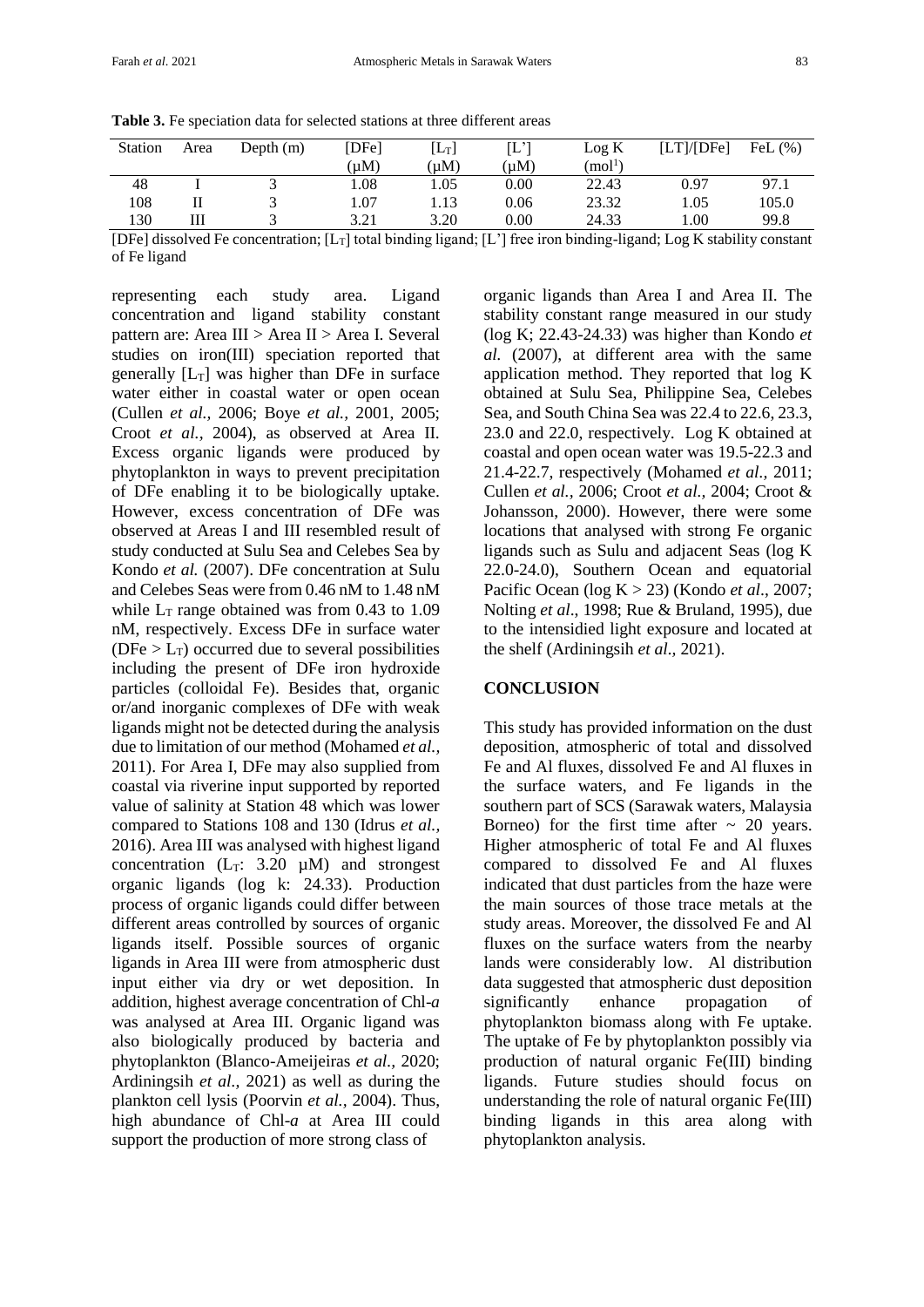| <b>Table 3.</b> Fe speciation data for selected stations at three different areas |  |  |
|-----------------------------------------------------------------------------------|--|--|
|-----------------------------------------------------------------------------------|--|--|

| <b>Station</b>                            | Area                    | Depth $(m)$ | [DFe]             | $\left[ \mathrm{L_T}\right]$ | $\mathord{\text{\rm L}}$    | Log K               | [LT]/[DFe] | FeL $(\% )$ |
|-------------------------------------------|-------------------------|-------------|-------------------|------------------------------|-----------------------------|---------------------|------------|-------------|
|                                           |                         |             | (uM)              | (uM)                         | (µM)                        | (mol <sup>1</sup> ) |            |             |
| 48                                        |                         |             | 1.08              | .05                          | 0.00                        | 22.43               | 0.97       | 97.1        |
| 108                                       |                         |             | $\overline{0.07}$ | .13                          | 0.06                        | 23.32               | 1.05       | 105.0       |
| 130                                       | Ш                       |             | 3.21              | 3.20                         | 0.00                        | 24.33               | 1.00       | 99.8        |
| $\sim$ $\sim$ $\sim$ $\sim$ $\sim$ $\sim$ | $\sim$ $\sim$<br>$\sim$ |             | __ _ _ _          | $\cdot$ $\cdot$              | $\sim$ $\sim$ $\sim$ $\sim$ | $\cdots$<br>$\sim$  | $\sim$     |             |

[DFe] dissolved Fe concentration;  $[L_T]$  total binding ligand;  $[L']$  free iron binding-ligand; Log K stability constant of Fe ligand

representing each study area. Ligand concentration and ligand stability constant pattern are: Area III > Area II > Area I. Several studies on iron(III) speciation reported that generally  $[L_T]$  was higher than DFe in surface water either in coastal water or open ocean (Cullen *et al.,* 2006; Boye *et al.,* 2001, 2005; Croot *et al.,* 2004), as observed at Area II. Excess organic ligands were produced by phytoplankton in ways to prevent precipitation of DFe enabling it to be biologically uptake. However, excess concentration of DFe was observed at Areas I and III resembled result of study conducted at Sulu Sea and Celebes Sea by Kondo *et al.* (2007). DFe concentration at Sulu and Celebes Seas were from 0.46 nM to 1.48 nM while  $L<sub>T</sub>$  range obtained was from 0.43 to 1.09 nM, respectively. Excess DFe in surface water ( $DFe > L<sub>T</sub>$ ) occurred due to several possibilities including the present of DFe iron hydroxide particles (colloidal Fe). Besides that, organic or/and inorganic complexes of DFe with weak ligands might not be detected during the analysis due to limitation of our method (Mohamed *et al.,* 2011). For Area I, DFe may also supplied from coastal via riverine input supported by reported value of salinity at Station 48 which was lower compared to Stations 108 and 130 (Idrus *et al.,* 2016). Area III was analysed with highest ligand concentration  $(L_T: 3.20 \mu M)$  and strongest organic ligands (log k: 24.33). Production process of organic ligands could differ between different areas controlled by sources of organic ligands itself. Possible sources of organic ligands in Area III were from atmospheric dust input either via dry or wet deposition. In addition, highest average concentration of Chl-*a* was analysed at Area III. Organic ligand was also biologically produced by bacteria and phytoplankton (Blanco-Ameijeiras *et al.,* 2020; Ardiningsih *et al.,* 2021) as well as during the plankton cell lysis (Poorvin *et al.,* 2004). Thus, high abundance of Chl-*a* at Area III could support the production of more strong class of

organic ligands than Area I and Area II. The stability constant range measured in our study (log K; 22.43-24.33) was higher than Kondo *et al.* (2007), at different area with the same application method. They reported that log K obtained at Sulu Sea, Philippine Sea, Celebes Sea, and South China Sea was 22.4 to 22.6, 23.3, 23.0 and 22.0, respectively. Log K obtained at coastal and open ocean water was 19.5-22.3 and 21.4-22.7, respectively (Mohamed *et al.,* 2011; Cullen *et al.,* 2006; Croot *et al.,* 2004; Croot & Johansson, 2000). However, there were some locations that analysed with strong Fe organic ligands such as Sulu and adjacent Seas (log K 22.0-24.0), Southern Ocean and equatorial Pacific Ocean (log K > 23) (Kondo *et al*., 2007; Nolting *et al*., 1998; Rue & Bruland, 1995), due to the intensidied light exposure and located at the shelf (Ardiningsih *et al.,* 2021).

# **CONCLUSION**

This study has provided information on the dust deposition, atmospheric of total and dissolved Fe and Al fluxes, dissolved Fe and Al fluxes in the surface waters, and Fe ligands in the southern part of SCS (Sarawak waters, Malaysia Borneo) for the first time after  $\sim$  20 years. Higher atmospheric of total Fe and Al fluxes compared to dissolved Fe and Al fluxes indicated that dust particles from the haze were the main sources of those trace metals at the study areas. Moreover, the dissolved Fe and Al fluxes on the surface waters from the nearby lands were considerably low. Al distribution data suggested that atmospheric dust deposition significantly enhance propagation of phytoplankton biomass along with Fe uptake. The uptake of Fe by phytoplankton possibly via production of natural organic Fe(III) binding ligands. Future studies should focus on understanding the role of natural organic Fe(III) binding ligands in this area along with phytoplankton analysis.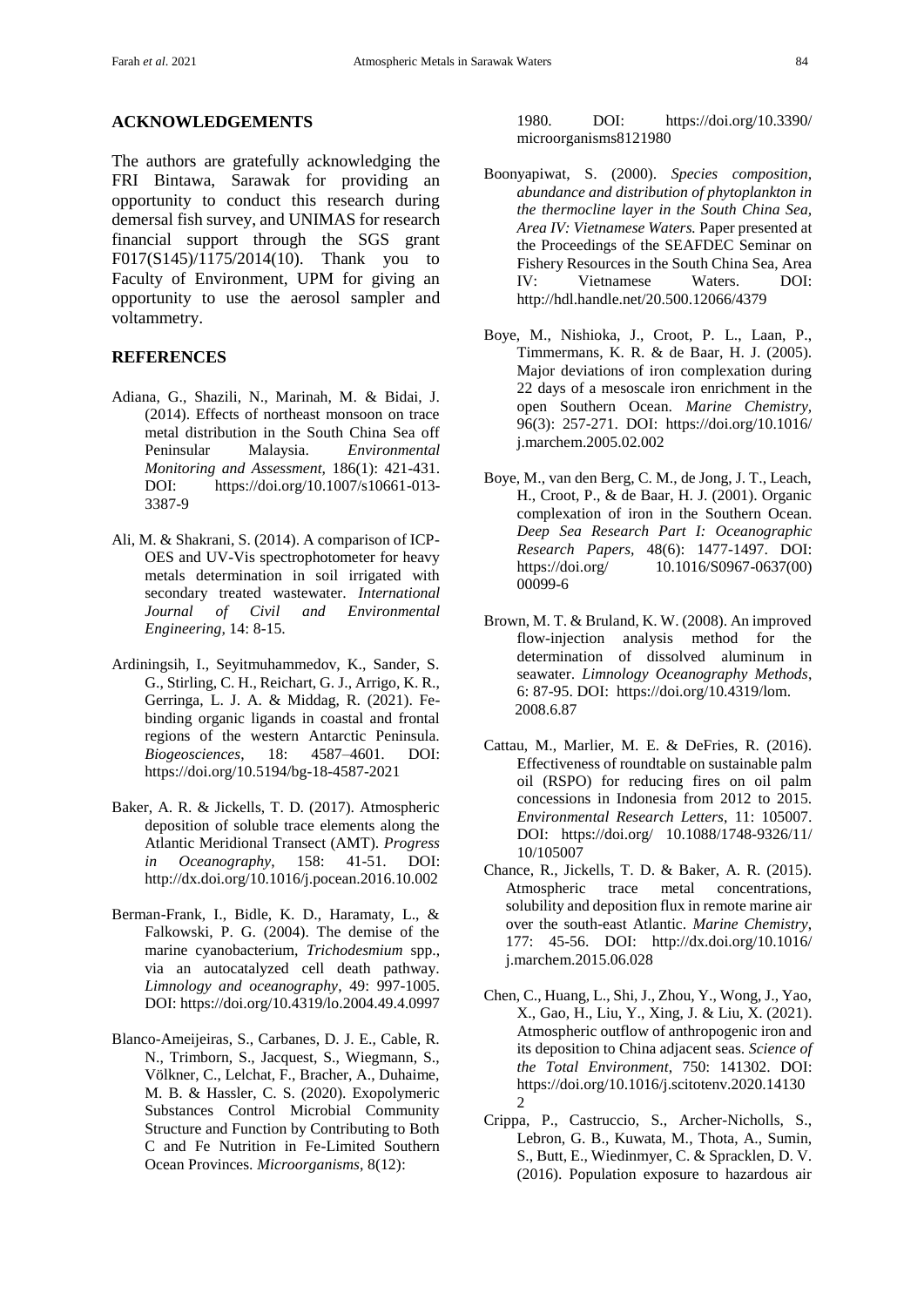#### **ACKNOWLEDGEMENTS**

The authors are gratefully acknowledging the FRI Bintawa, Sarawak for providing an opportunity to conduct this research during demersal fish survey, and UNIMAS for research financial support through the SGS grant F017(S145)/1175/2014(10). Thank you to Faculty of Environment, UPM for giving an opportunity to use the aerosol sampler and voltammetry.

## **REFERENCES**

- Adiana, G., Shazili, N., Marinah, M. & Bidai, J. (2014). Effects of northeast monsoon on trace metal distribution in the South China Sea off Peninsular Malaysia. *Environmental Monitoring and Assessment,* 186(1): 421-431. DOI: https://doi.org/10.1007/s10661-013- 3387-9
- Ali, M. & Shakrani, S. (2014). A comparison of ICP-OES and UV-Vis spectrophotometer for heavy metals determination in soil irrigated with secondary treated wastewater. *International Journal of Civil and Environmental Engineering,* 14: 8-15.
- Ardiningsih, I., Seyitmuhammedov, K., Sander, S. G., Stirling, C. H., Reichart, G. J., Arrigo, K. R., Gerringa, L. J. A. & Middag, R. (2021). Febinding organic ligands in coastal and frontal regions of the western Antarctic Peninsula. *Biogeosciences*, 18: 4587–4601. DOI: https://doi.org/10.5194/bg-18-4587-2021
- Baker, A. R. & Jickells, T. D. (2017). Atmospheric deposition of soluble trace elements along the Atlantic Meridional Transect (AMT). *Progress in Oceanography*, 158: 41-51. DOI: http://dx.doi.org/10.1016/j.pocean.2016.10.002
- Berman-Frank, I., Bidle, K. D., Haramaty, L., & Falkowski, P. G. (2004). The demise of the marine cyanobacterium, *Trichodesmium* spp., via an autocatalyzed cell death pathway. *Limnology and oceanography*, 49: 997-1005. DOI: https://doi.org/10.4319/lo.2004.49.4.0997
- Blanco-Ameijeiras, S., Carbanes, D. J. E., Cable, R. N., Trimborn, S., Jacquest, S., Wiegmann, S., Völkner, C., Lelchat, F., Bracher, A., Duhaime, M. B. & Hassler, C. S. (2020). Exopolymeric Substances Control Microbial Community Structure and Function by Contributing to Both C and Fe Nutrition in Fe-Limited Southern Ocean Provinces. *Microorganisms*, 8(12):

1980. DOI: https://doi.org/10.3390/ microorganisms8121980

- Boonyapiwat, S. (2000). *Species composition, abundance and distribution of phytoplankton in the thermocline layer in the South China Sea, Area IV: Vietnamese Waters.* Paper presented at the Proceedings of the SEAFDEC Seminar on Fishery Resources in the South China Sea, Area IV: Vietnamese Waters. DOI: http://hdl.handle.net/20.500.12066/4379
- Boye, M., Nishioka, J., Croot, P. L., Laan, P., Timmermans, K. R. & de Baar, H. J. (2005). Major deviations of iron complexation during 22 days of a mesoscale iron enrichment in the open Southern Ocean. *Marine Chemistry,*  96(3): 257-271. DOI: https://doi.org/10.1016/ j.marchem.2005.02.002
- Boye, M., van den Berg, C. M., de Jong, J. T., Leach, H., Croot, P., & de Baar, H. J. (2001). Organic complexation of iron in the Southern Ocean. *Deep Sea Research Part I: Oceanographic Research Papers,* 48(6): 1477-1497. DOI: https://doi.org/ 10.1016/S0967-0637(00) 00099-6
- Brown, M. T. & Bruland, K. W. (2008). An improved flow-injection analysis method for the determination of dissolved aluminum in seawater. *Limnology Oceanography Methods*, 6: 87-95. DOI: https://doi.org/10.4319/lom. 2008.6.87
- Cattau, M., Marlier, M. E. & DeFries, R. (2016). Effectiveness of roundtable on sustainable palm oil (RSPO) for reducing fires on oil palm concessions in Indonesia from 2012 to 2015. *Environmental Research Letters*, 11: 105007. DOI: https://doi.org/ 10.1088/1748-9326/11/ 10/105007
- Chance, R., Jickells, T. D. & Baker, A. R. (2015). Atmospheric trace metal concentrations, solubility and deposition flux in remote marine air over the south-east Atlantic. *Marine Chemistry*, 177: 45-56. DOI: http://dx.doi.org/10.1016/ j.marchem.2015.06.028
- Chen, C., Huang, L., Shi, J., Zhou, Y., Wong, J., Yao, X., Gao, H., Liu, Y., Xing, J. & Liu, X. (2021). Atmospheric outflow of anthropogenic iron and its deposition to China adjacent seas. *Science of the Total Environment*, 750: 141302. DOI: https://doi.org/10.1016/j.scitotenv.2020.14130  $\mathcal{D}$
- Crippa, P., Castruccio, S., Archer-Nicholls, S., Lebron, G. B., Kuwata, M., Thota, A., Sumin, S., Butt, E., Wiedinmyer, C. & Spracklen, D. V. (2016). Population exposure to hazardous air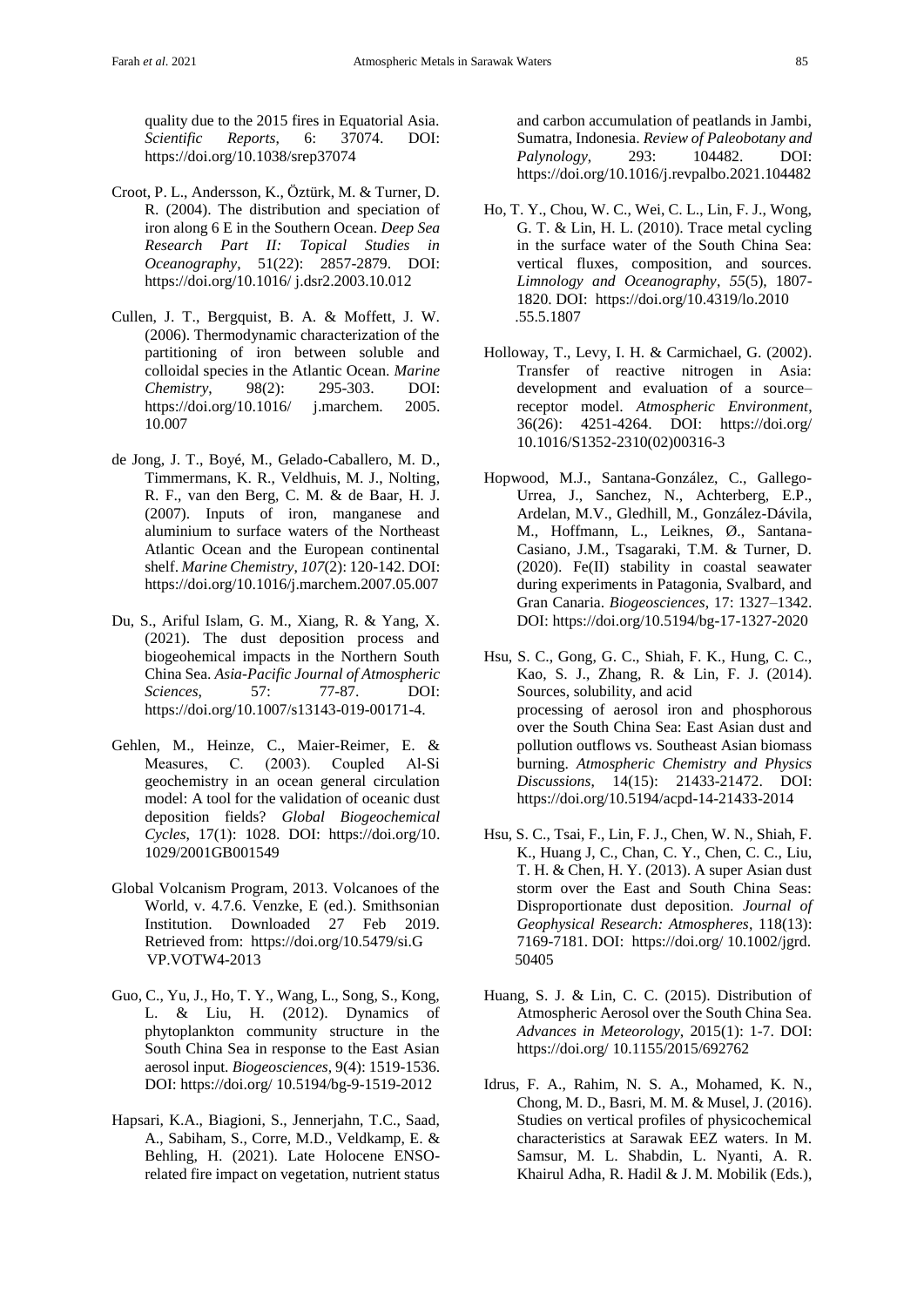quality due to the 2015 fires in Equatorial Asia. *Scientific Reports*, 6: 37074. DOI: https://doi.org/10.1038/srep37074

- Croot, P. L., Andersson, K., Öztürk, M. & Turner, D. R. (2004). The distribution and speciation of iron along 6 E in the Southern Ocean. *Deep Sea Research Part II: Topical Studies in Oceanography*, 51(22): 2857-2879. DOI: https://doi.org/10.1016/ j.dsr2.2003.10.012
- Cullen, J. T., Bergquist, B. A. & Moffett, J. W. (2006). Thermodynamic characterization of the partitioning of iron between soluble and colloidal species in the Atlantic Ocean. *Marine Chemistry*, 98(2): 295-303. DOI: https://doi.org/10.1016/ j.marchem. 2005. 10.007
- de Jong, J. T., Boyé, M., Gelado-Caballero, M. D., Timmermans, K. R., Veldhuis, M. J., Nolting, R. F., van den Berg, C. M. & de Baar, H. J. (2007). Inputs of iron, manganese and aluminium to surface waters of the Northeast Atlantic Ocean and the European continental shelf. *Marine Chemistry*, *107*(2): 120-142. DOI: https://doi.org/10.1016/j.marchem.2007.05.007
- Du, S., Ariful Islam, G. M., Xiang, R. & Yang, X. (2021). The dust deposition process and biogeohemical impacts in the Northern South China Sea. *Asia-Pacific Journal of Atmospheric Sciences*, 57: 77-87. DOI: https://doi.org/10.1007/s13143-019-00171-4.
- Gehlen, M., Heinze, C., Maier-Reimer, E. & Measures, C. (2003). Coupled Al-Si geochemistry in an ocean general circulation model: A tool for the validation of oceanic dust deposition fields? *Global Biogeochemical Cycles*, 17(1): 1028. DOI: https://doi.org/10. 1029/2001GB001549
- Global Volcanism Program, 2013. Volcanoes of the World, v. 4.7.6. Venzke, E (ed.). Smithsonian Institution. Downloaded 27 Feb 2019. Retrieved from: https://doi.org/10.5479/si.G VP.VOTW4-2013
- Guo, C., Yu, J., Ho, T. Y., Wang, L., Song, S., Kong, L. & Liu, H. (2012). Dynamics of phytoplankton community structure in the South China Sea in response to the East Asian aerosol input. *Biogeosciences*, 9(4): 1519-1536. DOI: https://doi.org/ 10.5194/bg-9-1519-2012
- Hapsari, K.A., Biagioni, S., Jennerjahn, T.C., Saad, A., Sabiham, S., Corre, M.D., Veldkamp, E. & Behling, H. (2021). Late Holocene ENSOrelated fire impact on vegetation, nutrient status

and carbon accumulation of peatlands in Jambi, Sumatra, Indonesia. *Review of Paleobotany and Palynology*, 293: 104482. DOI: https://doi.org/10.1016/j.revpalbo.2021.104482

- Ho, T. Y., Chou, W. C., Wei, C. L., Lin, F. J., Wong, G. T. & Lin, H. L. (2010). Trace metal cycling in the surface water of the South China Sea: vertical fluxes, composition, and sources. *Limnology and Oceanography*, *55*(5), 1807- 1820. DOI: https://doi.org/10.4319/lo.2010 .55.5.1807
- Holloway, T., Levy, I. H. & Carmichael, G. (2002). Transfer of reactive nitrogen in Asia: development and evaluation of a source– receptor model. *Atmospheric Environment*, 36(26): 4251-4264. DOI: https://doi.org/ 10.1016/S1352-2310(02)00316-3
- Hopwood, M.J., Santana-González, C., Gallego-Urrea, J., Sanchez, N., Achterberg, E.P., Ardelan, M.V., Gledhill, M., González-Dávila, M., Hoffmann, L., Leiknes, Ø., Santana-Casiano, J.M., Tsagaraki, T.M. & Turner, D. (2020). Fe(II) stability in coastal seawater during experiments in Patagonia, Svalbard, and Gran Canaria. *Biogeosciences*, 17: 1327–1342. DOI: https://doi.org/10.5194/bg-17-1327-2020
- Hsu, S. C., Gong, G. C., Shiah, F. K., Hung, C. C., Kao, S. J., Zhang, R. & Lin, F. J. (2014). Sources, solubility, and acid processing of aerosol iron and phosphorous over the South China Sea: East Asian dust and pollution outflows vs. Southeast Asian biomass burning. *Atmospheric Chemistry and Physics Discussions*, 14(15): 21433-21472. DOI: https://doi.org/10.5194/acpd-14-21433-2014
- Hsu, S. C., Tsai, F., Lin, F. J., Chen, W. N., Shiah, F. K., Huang J, C., Chan, C. Y., Chen, C. C., Liu, T. H. & Chen, H. Y. (2013). A super Asian dust storm over the East and South China Seas: Disproportionate dust deposition. *Journal of Geophysical Research: Atmospheres*, 118(13): 7169-7181. DOI: https://doi.org/ 10.1002/jgrd. 50405
- Huang, S. J. & Lin, C. C. (2015). Distribution of Atmospheric Aerosol over the South China Sea. *Advances in Meteorology*, 2015(1): 1-7. DOI: https://doi.org/ 10.1155/2015/692762
- Idrus, F. A., Rahim, N. S. A., Mohamed, K. N., Chong, M. D., Basri, M. M. & Musel, J. (2016). Studies on vertical profiles of physicochemical characteristics at Sarawak EEZ waters. In M. Samsur, M. L. Shabdin, L. Nyanti, A. R. Khairul Adha, R. Hadil & J. M. Mobilik (Eds.),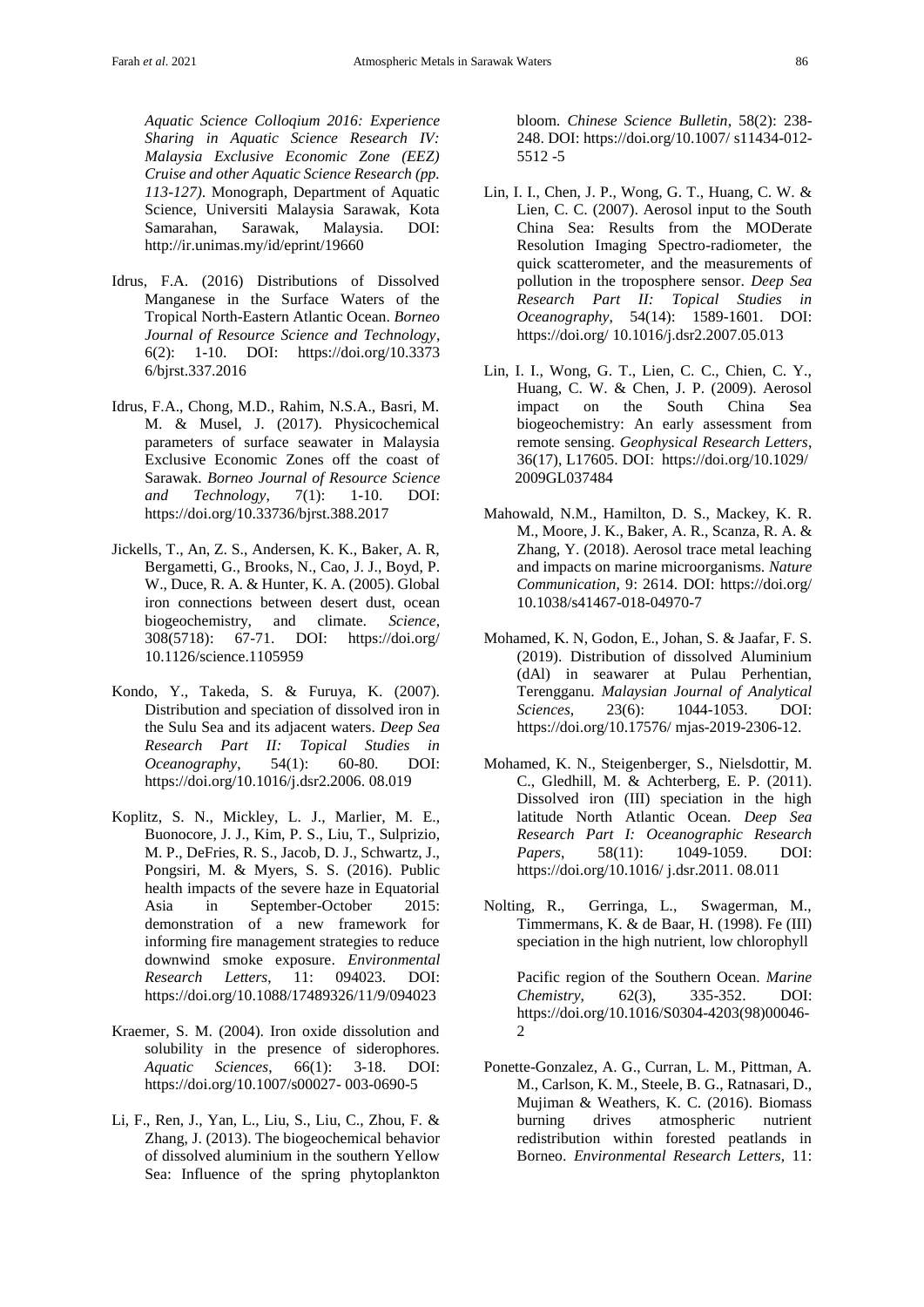*Aquatic Science Colloqium 2016: Experience Sharing in Aquatic Science Research IV: Malaysia Exclusive Economic Zone (EEZ) Cruise and other Aquatic Science Research (pp. 113-127)*. Monograph, Department of Aquatic Science, Universiti Malaysia Sarawak, Kota Samarahan, Sarawak, Malaysia. DOI: http://ir.unimas.my/id/eprint/19660

- Idrus, F.A. (2016) Distributions of Dissolved Manganese in the Surface Waters of the Tropical North-Eastern Atlantic Ocean. *Borneo Journal of Resource Science and Technology*, 6(2): 1-10. DOI: https://doi.org/10.3373 6/bjrst.337.2016
- Idrus, F.A., Chong, M.D., Rahim, N.S.A., Basri, M. M. & Musel, J. (2017). Physicochemical parameters of surface seawater in Malaysia Exclusive Economic Zones off the coast of Sarawak. *Borneo Journal of Resource Science and Technology*, 7(1): 1-10. DOI: https://doi.org/10.33736/bjrst.388.2017
- Jickells, T., An, Z. S., Andersen, K. K., Baker, A. R, Bergametti, G., Brooks, N., Cao, J. J., Boyd, P. W., Duce, R. A. & Hunter, K. A. (2005). Global iron connections between desert dust, ocean biogeochemistry, and climate. *Science*, 308(5718): 67-71. DOI: https://doi.org/ 10.1126/science.1105959
- Kondo, Y., Takeda, S. & Furuya, K. (2007). Distribution and speciation of dissolved iron in the Sulu Sea and its adjacent waters. *Deep Sea Research Part II: Topical Studies in Oceanography*, 54(1): 60-80. DOI: https://doi.org/10.1016/j.dsr2.2006. 08.019
- Koplitz, S. N., Mickley, L. J., Marlier, M. E., Buonocore, J. J., Kim, P. S., Liu, T., Sulprizio, M. P., DeFries, R. S., Jacob, D. J., Schwartz, J., Pongsiri, M. & Myers, S. S. (2016). Public health impacts of the severe haze in Equatorial Asia in September-October 2015: demonstration of a new framework for informing fire management strategies to reduce downwind smoke exposure. *Environmental Research Letters*, 11: 094023. DOI: https://doi.org/10.1088/17489326/11/9/094023
- Kraemer, S. M. (2004). Iron oxide dissolution and solubility in the presence of siderophores. *Aquatic Sciences*, 66(1): 3-18. DOI: https://doi.org/10.1007/s00027- 003-0690-5
- Li, F., Ren, J., Yan, L., Liu, S., Liu, C., Zhou, F. & Zhang, J. (2013). The biogeochemical behavior of dissolved aluminium in the southern Yellow Sea: Influence of the spring phytoplankton

bloom. *Chinese Science Bulletin*, 58(2): 238- 248. DOI: https://doi.org/10.1007/ s11434-012- 5512 -5

- Lin, I. I., Chen, J. P., Wong, G. T., Huang, C. W. & Lien, C. C. (2007). Aerosol input to the South China Sea: Results from the MODerate Resolution Imaging Spectro-radiometer, the quick scatterometer, and the measurements of pollution in the troposphere sensor. *Deep Sea Research Part II: Topical Studies in Oceanography*, 54(14): 1589-1601. DOI: https://doi.org/ 10.1016/j.dsr2.2007.05.013
- Lin, I. I., Wong, G. T., Lien, C. C., Chien, C. Y., Huang, C. W. & Chen, J. P. (2009). Aerosol impact on the South China Sea biogeochemistry: An early assessment from remote sensing. *Geophysical Research Letters*, 36(17), L17605. DOI: https://doi.org/10.1029/ 2009GL037484
- Mahowald, N.M., Hamilton, D. S., Mackey, K. R. M., Moore, J. K., Baker, A. R., Scanza, R. A. & Zhang, Y. (2018). Aerosol trace metal leaching and impacts on marine microorganisms. *Nature Communication*, 9: 2614. DOI: https://doi.org/ 10.1038/s41467-018-04970-7
- Mohamed, K. N, Godon, E., Johan, S. & Jaafar, F. S. (2019). Distribution of dissolved Aluminium (dAl) in seawarer at Pulau Perhentian, Terengganu. *Malaysian Journal of Analytical Sciences*, 23(6): 1044-1053. DOI: https://doi.org/10.17576/ mjas-2019-2306-12.
- Mohamed, K. N., Steigenberger, S., Nielsdottir, M. C., Gledhill, M. & Achterberg, E. P. (2011). Dissolved iron (III) speciation in the high latitude North Atlantic Ocean. *Deep Sea Research Part I: Oceanographic Research Papers*, 58(11): 1049-1059. DOI: https://doi.org/10.1016/ j.dsr.2011. 08.011
- Nolting, R., Gerringa, L., Swagerman, M., Timmermans, K. & de Baar, H. (1998). Fe (III) speciation in the high nutrient, low chlorophyll

Pacific region of the Southern Ocean. *Marine Chemistry*, 62(3), 335-352. DOI: https://doi.org/10.1016/S0304-4203(98)00046-  $\mathcal{D}$ 

Ponette-Gonzalez, A. G., Curran, L. M., Pittman, A. M., Carlson, K. M., Steele, B. G., Ratnasari, D., Mujiman & Weathers, K. C. (2016). Biomass burning drives atmospheric nutrient redistribution within forested peatlands in Borneo. *Environmental Research Letters*, 11: